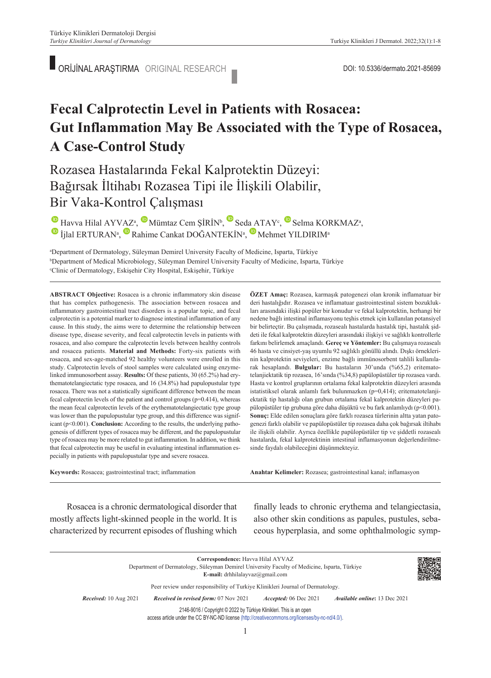## **Fecal Calprotectin Level in Patients with Rosacea: Gut Inflammation May Be Associated with the Type of Rosacea, A Case-Control Study**

Rozasea Hastalarında Fekal Kalprotektin Düzeyi: Bağırsak İltihabı Rozasea Tipi ile İlişkili Olabilir, Bir Vaka-Kontrol Çalışması

 $\bullet$ Havva Hilal AYVAZ<sup>a</sup>,  $\bullet$  Mümtaz Cem ŞİRİN<sup>b</sup>, Seda ATAY<sup>c</sup>, Selma KORKMAZ<sup>a</sup>,  $\bullet$ İjlal ERTURAN<sup>a</sup>, Rahime Cankat DOĞANTEKİN<sup>a</sup>, Mehmet YILDIRIM<sup>a</sup>

a Department of Dermatology, Süleyman Demirel University Faculty of Medicine, Isparta, Türkiye b Department of Medical Microbiology, Süleyman Demirel University Faculty of Medicine, Isparta, Türkiye c Clinic of Dermatology, Eskişehir City Hospital, Eskişehir, Türkiye

**ABS TRACT Objective:** Rosacea is a chronic inflammatory skin disease that has complex pathogenesis. The association between rosacea and inflammatory gastrointestinal tract disorders is a popular topic, and fecal calprotectin is a potential marker to diagnose intestinal inflammation of any cause. In this study, the aims were to determine the relationship between disease type, disease severity, and fecal calprotectin levels in patients with rosacea, and also compare the calprotectin levels between healthy controls and rosacea patients. **Material and Methods:** Forty-six patients with rosacea, and sex-age-matched 92 healthy volunteers were enrolled in this study. Calprotectin levels of stool samples were calculated using enzymelinked immunosorbent assay. **Results:** Of these patients, 30 (65.2%) had erythematotelangiectatic type rosacea, and 16 (34.8%) had papulopustular type rosacea. There was not a statistically significant difference between the mean fecal calprotectin levels of the patient and control groups  $(p=0.414)$ , whereas the mean fecal calprotectin levels of the erythematotelangiectatic type group was lower than the papulopustular type group, and this difference was significant (p<0.001). **Conclusion:** According to the results, the underlying pathogenesis of different types of rosacea may be different, and the papulopustular type of rosacea may be more related to gut inflammation. In addition, we think that fecal calprotectin may be useful in evaluating intestinal inflammation especially in patients with papulopustular type and severe rosacea.

**Keywords:** Rosacea; gastrointestinal tract; inflammation

**ÖZET Amaç:** Rozasea, karmaşık patogenezi olan kronik inflamatuar bir deri hastalığıdır. Rozasea ve inflamatuar gastrointestinal sistem bozuklukları arasındaki ilişki popüler bir konudur ve fekal kalprotektin, herhangi bir nedene bağlı intestinal inflamasyonu teşhis etmek için kullanılan potansiyel bir belirteçtir. Bu çalışmada, rozasealı hastalarda hastalık tipi, hastalık şiddeti ile fekal kalprotektin düzeyleri arasındaki ilişkiyi ve sağlıklı kontrollerle farkını belirlemek amaçlandı. **Gereç ve Yöntemler:** Bu çalışmaya rozasealı 46 hasta ve cinsiyet-yaş uyumlu 92 sağlıklı gönüllü alındı. Dışkı örneklerinin kalprotektin seviyeleri, enzime bağlı immünosorbent tahlili kullanılarak hesaplandı. **Bulgular:** Bu hastaların 30'unda (%65,2) eritematotelanjiektatik tip rozasea, 16'sında (%34,8) papülopüstüler tip rozasea vardı. Hasta ve kontrol gruplarının ortalama fekal kalprotektin düzeyleri arasında istatistiksel olarak anlamlı fark bulunmazken (p=0,414); eritematotelanjiektatik tip hastalığı olan grubun ortalama fekal kalprotektin düzeyleri papülopüstüler tip grubuna göre daha düşüktü ve bu fark anlamlıydı (p<0.001). **Sonuç:** Elde edilen sonuçlara göre farklı rozasea türlerinin altta yatan patogenezi farklı olabilir ve papülopüstüler tip rozasea daha çok bağırsak iltihabı ile ilişkili olabilir. Ayrıca özellikle papülopüstüler tip ve şiddetli rozasealı hastalarda, fekal kalprotektinin intestinal inflamasyonun değerlendirilmesinde faydalı olabileceğini düşünmekteyiz.

Anahtar Kelimeler: Rozasea; gastrointestinal kanal; inflamasyon

Rosacea is a chronic dermatological disorder that mostly affects light-skinned people in the world. It is characterized by recurrent episodes of flushing which finally leads to chronic erythema and telangiectasia, also other skin conditions as papules, pustules, sebaceous hyperplasia, and some ophthalmologic symp-

**Correspondence:** Havva Hilal AYVAZ Department of Dermatology, Süleyman Demirel University Faculty of Medicine, Isparta, Türkiye **E-mail:** drhhilalayvaz@gmail.com Peer review under responsibility of Turkiye Klinikleri Journal of Dermatology. *Re ce i ved:* 10 Aug 2021 *Received in revised form:* 07 Nov 2021 *Ac cep ted:* 06 Dec 2021 *Available online***:** 13 Dec 2021 2146-9016 / Copyright © 2022 by Türkiye Klinikleri. This is an open

access article under the CC BY-NC-ND license [\(http://creativecommons.org/licenses/by-nc-nd/4.0/\)](https://creativecommons.org/licenses/by-nc-nd/4.0/).

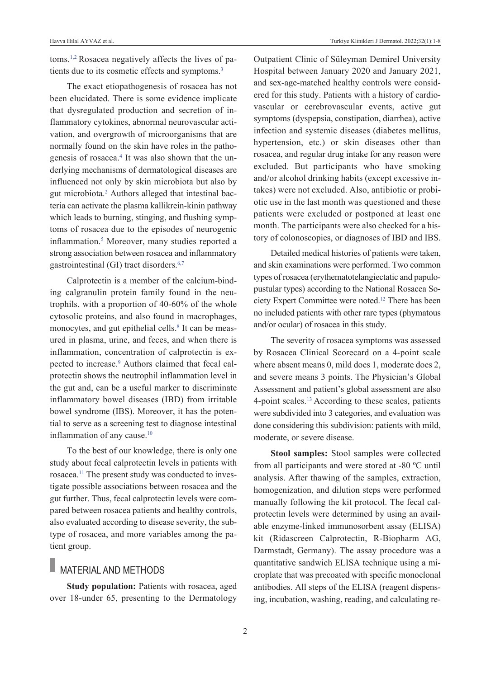toms[.1,2](#page-6-0) Rosacea negatively affects the lives of patients due to its cosmetic effects and symptoms.<sup>3</sup>

The exact etiopathogenesis of rosacea has not been elucidated. There is some evidence implicate that dysregulated production and secretion of inflammatory cytokines, abnormal neurovascular activation, and overgrowth of microorganisms that are normally found on the skin have roles in the pathogenesis of rosacea.<sup>4</sup> It was also shown that the underlying mechanisms of dermatological diseases are influenced not only by skin microbiota but also by gut microbiota.<sup>2</sup> Authors alleged that intestinal bacteria can activate the plasma kallikrein-kinin pathway which leads to burning, stinging, and flushing symptoms of rosacea due to the episodes of neurogenic inflammation[.5](#page-6-0) Moreover, many studies reported a strong association between rosacea and inflammatory gastrointestinal (GI) tract disorders[.6,7](#page-6-0)

Calprotectin is a member of the calcium-binding calgranulin protein family found in the neutrophils, with a proportion of 40-60% of the whole cytosolic proteins, and also found in macrophages, monocytes, and gut epithelial cells.<sup>8</sup> It can be measured in plasma, urine, and feces, and when there is inflammation, concentration of calprotectin is expected to increase.<sup>9</sup> Authors claimed that fecal calprotectin shows the neutrophil inflammation level in the gut and, can be a useful marker to discriminate inflammatory bowel diseases (IBD) from irritable bowel syndrome (IBS). Moreover, it has the potential to serve as a screening test to diagnose intestinal inflammation of any cause.<sup>10</sup>

To the best of our knowledge, there is only one study about fecal calprotectin levels in patients with rosacea[.11](#page-6-0) The present study was conducted to investigate possible associations between rosacea and the gut further. Thus, fecal calprotectin levels were compared between rosacea patients and healthy controls, also evaluated according to disease severity, the subtype of rosacea, and more variables among the patient group.

### MATERIAL AND METHODS

**Study population:** Patients with rosacea, aged over 18-under 65, presenting to the Dermatology Outpatient Clinic of Süleyman Demirel University Hospital between January 2020 and January 2021, and sex-age-matched healthy controls were considered for this study. Patients with a history of cardiovascular or cerebrovascular events, active gut symptoms (dyspepsia, constipation, diarrhea), active infection and systemic diseases (diabetes mellitus, hypertension, etc.) or skin diseases other than rosacea, and regular drug intake for any reason were excluded. But participants who have smoking and/or alcohol drinking habits (except excessive intakes) were not excluded. Also, antibiotic or probiotic use in the last month was questioned and these patients were excluded or postponed at least one month. The participants were also checked for a history of colonoscopies, or diagnoses of IBD and IBS.

Detailed medical histories of patients were taken, and skin examinations were performed. Two common types of rosacea (erythematotelangiectatic and papulopustular types) according to the National Rosacea Society Expert Committee were noted[.12](#page-6-0) There has been no included patients with other rare types (phymatous and/or ocular) of rosacea in this study.

The severity of rosacea symptoms was assessed by Rosacea Clinical Scorecard on a 4-point scale where absent means 0, mild does 1, moderate does 2, and severe means 3 points. The Physician's Global Assessment and patient's global assessment are also 4-point scales[.13](#page-6-0) According to these scales, patients were subdivided into 3 categories, and evaluation was done considering this subdivision: patients with mild, moderate, or severe disease.

**Stool samples:** Stool samples were collected from all participants and were stored at -80 ºC until analysis. After thawing of the samples, extraction, homogenization, and dilution steps were performed manually following the kit protocol. The fecal calprotectin levels were determined by using an available enzyme-linked immunosorbent assay (ELISA) kit (Ridascreen Calprotectin, R-Biopharm AG, Darmstadt, Germany). The assay procedure was a quantitative sandwich ELISA technique using a microplate that was precoated with specific monoclonal antibodies. All steps of the ELISA (reagent dispensing, incubation, washing, reading, and calculating re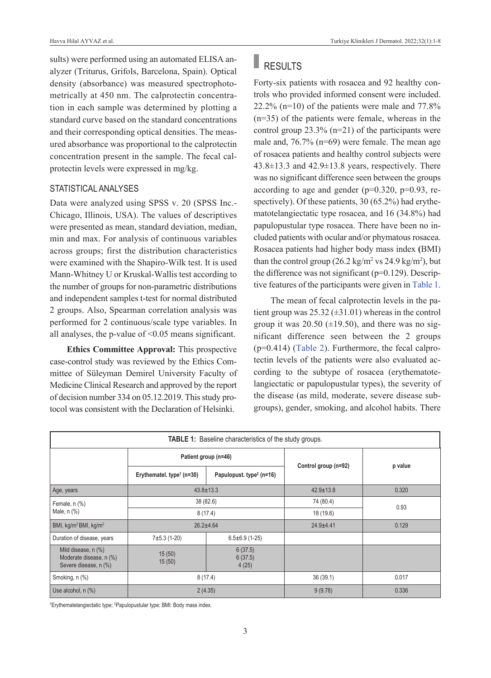sults) were performed using an automated ELISA analyzer (Triturus, Grifols, Barcelona, Spain). Optical density (absorbance) was measured spectrophotometrically at 450 nm. The calprotectin concentration in each sample was determined by plotting a standard curve based on the standard concentrations and their corresponding optical densities. The measured absorbance was proportional to the calprotectin concentration present in the sample. The fecal calprotectin levels were expressed in mg/kg.

### STATISTICAL ANALYSES

Data were analyzed using SPSS v. 20 (SPSS Inc.- Chicago, Illinois, USA). The values of descriptives were presented as mean, standard deviation, median, min and max. For analysis of continuous variables across groups; first the distribution characteristics were examined with the Shapiro-Wilk test. It is used Mann-Whitney U or Kruskal-Wallis test according to the number of groups for non-parametric distributions and independent samples t-test for normal distributed 2 groups. Also, Spearman correlation analysis was performed for 2 continuous/scale type variables. In all analyses, the p-value of  $\leq 0.05$  means significant.

**Ethics Committee Approval:** This prospective case-control study was reviewed by the Ethics Committee of Süleyman Demirel University Faculty of Medicine Clinical Research and approved by the report of decision number 334 on 05.12.2019. This study protocol was consistent with the Declaration of Helsinki.

# RESULTS

Forty-six patients with rosacea and 92 healthy controls who provided informed consent were included.  $22.2\%$  (n=10) of the patients were male and  $77.8\%$ (n=35) of the patients were female, whereas in the control group 23.3% (n=21) of the participants were male and, 76.7% (n=69) were female. The mean age of rosacea patients and healthy control subjects were  $43.8\pm13.3$  and  $42.9\pm13.8$  years, respectively. There was no significant difference seen between the groups according to age and gender ( $p=0.320$ ,  $p=0.93$ , respectively). Of these patients, 30 (65.2%) had erythematotelangiectatic type rosacea, and 16 (34.8%) had papulopustular type rosacea. There have been no included patients with ocular and/or phymatous rosacea. Rosacea patients had higher body mass index **(**BMI) than the control group  $(26.2 \text{ kg/m}^2 \text{ vs } 24.9 \text{ kg/m}^2)$ , but the difference was not significant  $(p=0.129)$ . Descriptive features of the participants were given in [Table 1.](#page-2-0)

<span id="page-2-0"></span>The mean of fecal calprotectin levels in the patient group was  $25.32 \ (\pm 31.01)$  whereas in the control group it was  $20.50$  ( $\pm$ 19.50), and there was no significant difference seen between the 2 groups (p=0.414) [\(Table 2\)](#page-3-0). Furthermore, the fecal calprotectin levels of the patients were also evaluated according to the subtype of rosacea (erythematotelangiectatic or papulopustular types), the severity of the disease (as mild, moderate, severe disease subgroups), gender, smoking, and alcohol habits. There

| <b>TABLE 1:</b> Baseline characteristics of the study groups.           |                                                          |                                      |                      |         |  |
|-------------------------------------------------------------------------|----------------------------------------------------------|--------------------------------------|----------------------|---------|--|
|                                                                         | Patient group (n=46)                                     |                                      |                      |         |  |
|                                                                         | Erythematel. type <sup><math>\dagger</math></sup> (n=30) | Papulopust. type <sup>‡</sup> (n=16) | Control group (n=92) | p value |  |
| Age, years                                                              | $43.8 \pm 13.3$                                          |                                      | $42.9 \pm 13.8$      | 0.320   |  |
| Female, n (%)<br>Male, n (%)                                            | 38 (82.6)                                                |                                      | 74 (80.4)            | 0.93    |  |
|                                                                         | 8(17.4)                                                  |                                      | 18 (19.6)            |         |  |
| BMI, kg/m <sup>2</sup> BMI, kg/m <sup>2</sup>                           | $26.2 + 4.64$                                            |                                      | $24.9 + 4.41$        | 0.129   |  |
| Duration of disease, years                                              | $7±5.3(1-20)$                                            | $6.5 \pm 6.9$ (1-25)                 |                      |         |  |
| Mild disease, n (%)<br>Moderate disease, n (%)<br>Severe disease, n (%) | 15(50)<br>15(50)                                         | 6(37.5)<br>6(37.5)<br>4(25)          |                      |         |  |
| Smoking, n (%)                                                          | 8(17.4)                                                  |                                      | 36(39.1)             | 0.017   |  |
| Use alcohol, n (%)                                                      | 2(4.35)                                                  |                                      | 9(9.78)              | 0.336   |  |

† Erythematelangiectatic type; ‡ Papulopustular type; BMI: Body mass index.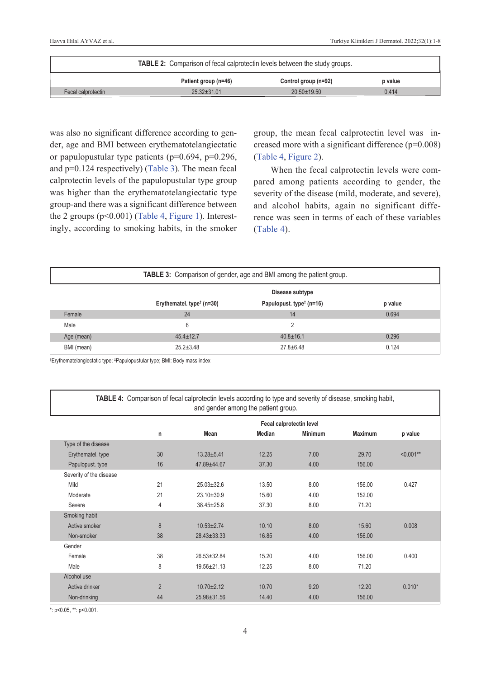| <b>TABLE 2:</b> Comparison of fecal calprotectin levels between the study groups. |                      |                      |         |  |
|-----------------------------------------------------------------------------------|----------------------|----------------------|---------|--|
|                                                                                   | Patient group (n=46) | Control group (n=92) | p value |  |
| Fecal calprotectin                                                                | $25.32 \pm 31.01$    | $20.50 \pm 19.50$    | 0.414   |  |

was also no significant difference according to gender, age and BMI between erythematotelangiectatic or papulopustular type patients (p=0.694, p=0.296, and p=0.124 respectively) [\(Table 3\)](#page-3-1). The mean fecal calprotectin levels of the papulopustular type group was higher than the erythematotelangiectatic type group-and there was a significant difference between the 2 groups  $(p<0.001)$  [\(Table 4,](#page-3-2) [Figure 1\)](#page-4-0). Interestingly, according to smoking habits, in the smoker <span id="page-3-0"></span>group, the mean fecal calprotectin level was increased more with a significant difference (p=0.008) [\(Table 4,](#page-3-2) [Figure 2\)](#page-4-1).

<span id="page-3-2"></span><span id="page-3-1"></span>When the fecal calprotectin levels were compared among patients according to gender, the severity of the disease (mild, moderate, and severe), and alcohol habits, again no significant difference was seen in terms of each of these variables [\(Table 4\)](#page-3-2).

| TABLE 3: Comparison of gender, age and BMI among the patient group. |                                                          |                                      |         |  |
|---------------------------------------------------------------------|----------------------------------------------------------|--------------------------------------|---------|--|
|                                                                     | Disease subtype                                          |                                      |         |  |
|                                                                     | Erythematel. type <sup><math>\dagger</math></sup> (n=30) | Papulopust. type <sup>#</sup> (n=16) | p value |  |
| Female                                                              | 24                                                       | 14                                   | 0.694   |  |
| Male                                                                | 6                                                        |                                      |         |  |
| Age (mean)                                                          | $45.4 \pm 12.7$                                          | $40.8 \pm 16.1$                      | 0.296   |  |
| BMI (mean)                                                          | $25.2 \pm 3.48$                                          | $27.8 \pm 6.48$                      | 0.124   |  |

† Erythematelangiectatic type; ‡ Papulopustular type; BMI: Body mass index

| <b>TABLE 4:</b> Comparison of fecal calprotectin levels according to type and severity of disease, smoking habit,<br>and gender among the patient group. |                          |                   |        |                |                |              |
|----------------------------------------------------------------------------------------------------------------------------------------------------------|--------------------------|-------------------|--------|----------------|----------------|--------------|
|                                                                                                                                                          | Fecal calprotectin level |                   |        |                |                |              |
|                                                                                                                                                          | n                        | Mean              | Median | <b>Minimum</b> | <b>Maximum</b> | p value      |
| Type of the disease                                                                                                                                      |                          |                   |        |                |                |              |
| Erythematel. type                                                                                                                                        | 30                       | $13.28 + 5.41$    | 12.25  | 7.00           | 29.70          | $< 0.001$ ** |
| Papulopust. type                                                                                                                                         | 16                       | 47.89±44.67       | 37.30  | 4.00           | 156.00         |              |
| Severity of the disease                                                                                                                                  |                          |                   |        |                |                |              |
| Mild                                                                                                                                                     | 21                       | $25.03 \pm 32.6$  | 13.50  | 8.00           | 156.00         | 0.427        |
| Moderate                                                                                                                                                 | 21                       | $23.10 \pm 30.9$  | 15.60  | 4.00           | 152.00         |              |
| Severe                                                                                                                                                   | 4                        | 38.45±25.8        | 37.30  | 8.00           | 71.20          |              |
| Smoking habit                                                                                                                                            |                          |                   |        |                |                |              |
| Active smoker                                                                                                                                            | 8                        | $10.53 + 2.74$    | 10.10  | 8.00           | 15.60          | 0.008        |
| Non-smoker                                                                                                                                               | 38                       | $28.43 \pm 33.33$ | 16.85  | 4.00           | 156.00         |              |
| Gender                                                                                                                                                   |                          |                   |        |                |                |              |
| Female                                                                                                                                                   | 38                       | $26.53 \pm 32.84$ | 15.20  | 4.00           | 156.00         | 0.400        |
| Male                                                                                                                                                     | 8                        | $19.56 \pm 21.13$ | 12.25  | 8.00           | 71.20          |              |
| Alcohol use                                                                                                                                              |                          |                   |        |                |                |              |
| Active drinker                                                                                                                                           | $\overline{2}$           | $10.70 + 2.12$    | 10.70  | 9.20           | 12.20          | $0.010*$     |
| Non-drinking                                                                                                                                             | 44                       | 25.98±31.56       | 14.40  | 4.00           | 156.00         |              |

\*: p<0.05, \*\*: p<0.001.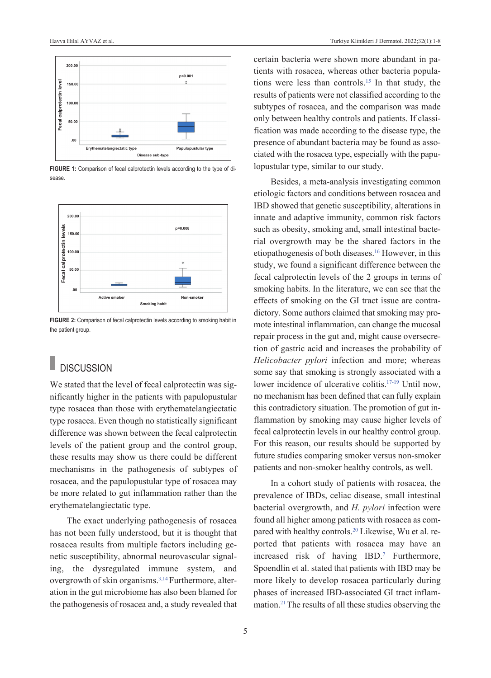

FIGURE 1: Comparison of fecal calprotectin levels according to the type of disease.



**FIGURE 2:** Comparison of fecal calprotectin levels according to smoking habit in the patient group.

### **DISCUSSION**

We stated that the level of fecal calprotectin was significantly higher in the patients with papulopustular type rosacea than those with erythematelangiectatic type rosacea. Even though no statistically significant difference was shown between the fecal calprotectin levels of the patient group and the control group, these results may show us there could be different mechanisms in the pathogenesis of subtypes of rosacea, and the papulopustular type of rosacea may be more related to gut inflammation rather than the erythematelangiectatic type.

The exact underlying pathogenesis of rosacea has not been fully understood, but it is thought that rosacea results from multiple factors including genetic susceptibility, abnormal neurovascular signaling, the dysregulated immune system, and overgrowth of skin organisms.<sup>3,14</sup> Furthermore, alteration in the gut microbiome has also been blamed for the pathogenesis of rosacea and, a study revealed that certain bacteria were shown more abundant in patients with rosacea, whereas other bacteria populations were less than controls[.15](#page-6-0) In that study, the results of patients were not classified according to the subtypes of rosacea, and the comparison was made only between healthy controls and patients. If classification was made according to the disease type, the presence of abundant bacteria may be found as associated with the rosacea type, especially with the papulopustular type, similar to our study.

<span id="page-4-1"></span><span id="page-4-0"></span>Besides, a meta-analysis investigating common etiologic factors and conditions between rosacea and IBD showed that genetic susceptibility, alterations in innate and adaptive immunity, common risk factors such as obesity, smoking and, small intestinal bacterial overgrowth may be the shared factors in the etiopathogenesis of both diseases[.16](#page-6-0) However, in this study, we found a significant difference between the fecal calprotectin levels of the 2 groups in terms of smoking habits. In the literature, we can see that the effects of smoking on the GI tract issue are contradictory. Some authors claimed that smoking may promote intestinal inflammation, can change the mucosal repair process in the gut and, might cause oversecretion of gastric acid and increases the probability of *Helicobacter pylori* infection and more; whereas some say that smoking is strongly associated with a lower incidence of ulcerative colitis[.17-19](#page-6-0) Until now, no mechanism has been defined that can fully explain this contradictory situation. The promotion of gut inflammation by smoking may cause higher levels of fecal calprotectin levels in our healthy control group. For this reason, our results should be supported by future studies comparing smoker versus non-smoker patients and non-smoker healthy controls, as well.

In a cohort study of patients with rosacea, the prevalence of IBDs, celiac disease, small intestinal bacterial overgrowth, and *H. pylori* infection were found all higher among patients with rosacea as compared with healthy controls[.20](#page-6-0) Likewise, Wu et al. reported that patients with rosacea may have an increased risk of having IBD[.7](#page-6-0) Furthermore, Spoendlin et al. stated that patients with IBD may be more likely to develop rosacea particularly during phases of increased IBD-associated GI tract inflammation[.21T](#page-6-0)he results of all these studies observing the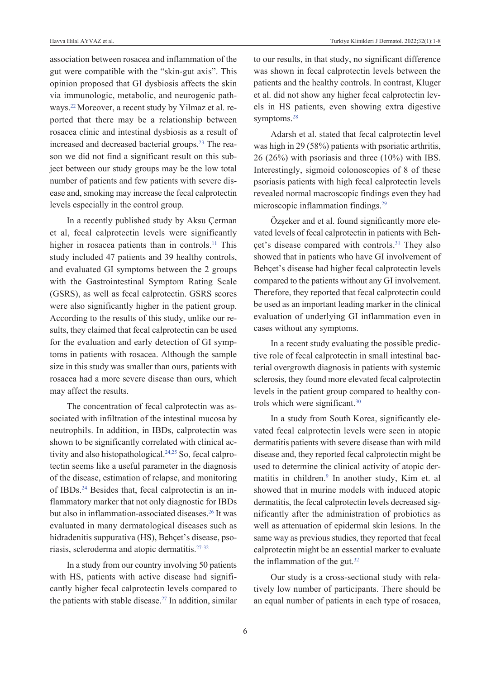association between rosacea and inflammation of the gut were compatible with the "skin-gut axis". This opinion proposed that GI dysbiosis affects the skin via immunologic, metabolic, and neurogenic pathways[.22](#page-6-0)Moreover, a recent study by Yilmaz et al. reported that there may be a relationship between rosacea clinic and intestinal dysbiosis as a result of increased and decreased bacterial groups.<sup>23</sup> The reason we did not find a significant result on this subject between our study groups may be the low total number of patients and few patients with severe disease and, smoking may increase the fecal calprotectin levels especially in the control group.

In a recently published study by Aksu Çerman et al, fecal calprotectin levels were significantly higher in rosacea patients than in controls.<sup>11</sup> This study included 47 patients and 39 healthy controls, and evaluated GI symptoms between the 2 groups with the Gastrointestinal Symptom Rating Scale (GSRS), as well as fecal calprotectin. GSRS scores were also significantly higher in the patient group. According to the results of this study, unlike our results, they claimed that fecal calprotectin can be used for the evaluation and early detection of GI symptoms in patients with rosacea. Although the sample size in this study was smaller than ours, patients with rosacea had a more severe disease than ours, which may affect the results.

The concentration of fecal calprotectin was associated with infiltration of the intestinal mucosa by neutrophils. In addition, in IBDs, calprotectin was shown to be significantly correlated with clinical activity and also histopathological.<sup>24,25</sup> So, fecal calprotectin seems like a useful parameter in the diagnosis of the disease, estimation of relapse, and monitoring of IBDs[.24](#page-6-0) Besides that, fecal calprotectin is an inflammatory marker that not only diagnostic for IBDs but also in inflammation-associated diseases[.26](#page-6-0) It was evaluated in many dermatological diseases such as hidradenitis suppurativa (HS), Behçet's disease, psoriasis, scleroderma and atopic dermatitis[.27-32](#page-6-0)

In a study from our country involving 50 patients with HS, patients with active disease had significantly higher fecal calprotectin levels compared to the patients with stable disease. $27$  In addition, similar to our results, in that study, no significant difference was shown in fecal calprotectin levels between the patients and the healthy controls. In contrast, Kluger et al. did not show any higher fecal calprotectin levels in HS patients, even showing extra digestive symptoms.<sup>28</sup>

Adarsh et al. stated that fecal calprotectin level was high in 29 (58%) patients with psoriatic arthritis, 26 (26%) with psoriasis and three (10%) with IBS. Interestingly, sigmoid colonoscopies of 8 of these psoriasis patients with high fecal calprotectin levels revealed normal macroscopic findings even they had microscopic inflammation findings[.29](#page-6-0) 

Özşeker and et al. found significantly more elevated levels of fecal calprotectin in patients with Behçet's disease compared with controls[.31](#page-6-0) They also showed that in patients who have GI involvement of Behçet's disease had higher fecal calprotectin levels compared to the patients without any GI involvement. Therefore, they reported that fecal calprotectin could be used as an important leading marker in the clinical evaluation of underlying GI inflammation even in cases without any symptoms.

In a recent study evaluating the possible predictive role of fecal calprotectin in small intestinal bacterial overgrowth diagnosis in patients with systemic sclerosis, they found more elevated fecal calprotectin levels in the patient group compared to healthy controls which were significant[.30](#page-6-0)

In a study from South Korea, significantly elevated fecal calprotectin levels were seen in atopic dermatitis patients with severe disease than with mild disease and, they reported fecal calprotectin might be used to determine the clinical activity of atopic dermatitis in children.<sup>9</sup> In another study, Kim et. al showed that in murine models with induced atopic dermatitis, the fecal calprotectin levels decreased significantly after the administration of probiotics as well as attenuation of epidermal skin lesions. In the same way as previous studies, they reported that fecal calprotectin might be an essential marker to evaluate the inflammation of the gut.<sup>32</sup>

Our study is a cross-sectional study with relatively low number of participants. There should be an equal number of patients in each type of rosacea,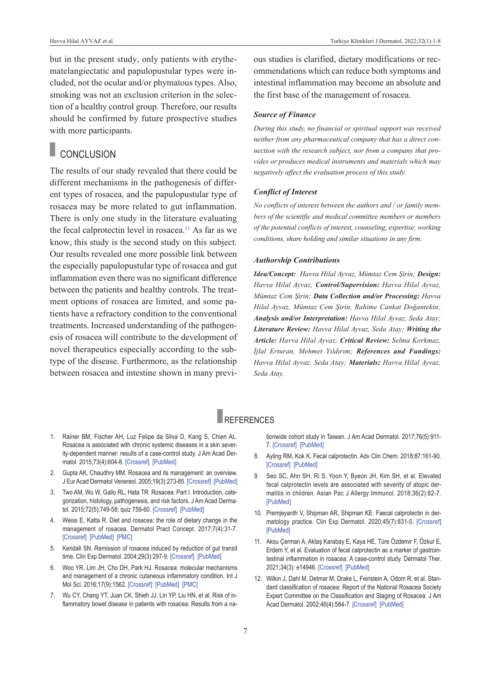but in the present study, only patients with erythematelangiectatic and papulopustular types were included, not the ocular and/or phymatous types. Also, smoking was not an exclusion criterion in the selection of a healthy control group. Therefore, our results should be confirmed by future prospective studies with more participants.

### **CONCLUSION**

The results of our study revealed that there could be different mechanisms in the pathogenesis of different types of rosacea, and the papulopustular type of rosacea may be more related to gut inflammation. There is only one study in the literature evaluating the fecal calprotectin level in rosacea.<sup>11</sup> As far as we know, this study is the second study on this subject. Our results revealed one more possible link between the especially papulopustular type of rosacea and gut inflammation even there was no significant difference between the patients and healthy controls. The treatment options of rosacea are limited, and some patients have a refractory condition to the conventional treatments. Increased understanding of the pathogenesis of rosacea will contribute to the development of novel therapeutics especially according to the subtype of the disease. Furthermore, as the relationship between rosacea and intestine shown in many previous studies is clarified, dietary modifications or recommendations which can reduce both symptoms and intestinal inflammation may become an absolute and the first base of the management of rosacea.

#### *Source of Finance*

*During this study, no financial or spiritual support was received neither from any pharmaceutical company that has a direct connection with the research subject, nor from a company that provides or produces medical instruments and materials which may negatively affect the evaluation process of this study.* 

#### *Conflict of Interest*

*No conflicts of interest between the authors and / or family members of the scientific and medical committee members or members of the potential conflicts of interest, counseling, expertise, working conditions, share holding and similar situations in any firm.* 

#### *Authorship Contributions*

*Idea/Concept: Havva Hilal Ayvaz, Mümtaz Cem Şirin; Design: Havva Hilal Ayvaz; Control/Supervision: Havva Hilal Ayvaz, Mümtaz Cem Şirin; Data Collection and/or Processing: Havva Hilal Ayvaz, Mümtaz Cem Şirin, Rahime Cankat Doğantekin; Analysis and/or Interpretation: Havva Hilal Ayvaz, Seda Atay; Literature Review: Havva Hilal Ayvaz, Seda Atay; Writing the Article: Havva Hilal Ayvaz; Critical Review: Selma Korkmaz, İjlal Erturan, Mehmet Yıldırım; References and Fundings: Havva Hilal Ayvaz, Seda Atay; Materials: Havva Hilal Ayvaz, Seda Atay.* 

### **REFERENCES**

- 1. Rainer BM, Fischer AH, Luz Felipe da Silva D, Kang S, Chien AL. Rosacea is associated with chronic systemic diseases in a skin severity-dependent manner: results of a case-control study. J Am Acad Dermatol. 2015;73(4):604-8. [\[Crossref\]](https://www.sciencedirect.com/science/article/abs/pii/S0190962215018800?via%3Dihub) [\[PubMed\]](https://pubmed.ncbi.nlm.nih.gov/26256428/)
- 2. Gupta AK, Chaudhry MM. Rosacea and its management: an overview. J Eur Acad Dermatol Venereol. 2005;19(3):273-85. [\[Crossref\]](https://onlinelibrary.wiley.com/doi/10.1111/j.1468-3083.2005.01216.x) [\[PubMed\]](https://pubmed.ncbi.nlm.nih.gov/15857452/)
- 3. Two AM, Wu W, Gallo RL, Hata TR. Rosacea: Part I. Introduction, categorization, histology, pathogenesis, and risk factors. J Am Acad Dermatol. 2015;72(5):749-58; quiz 759-60. [\[Crossref\]](https://www.sciencedirect.com/science/article/abs/pii/S0190962214018751?via%3Dihub) [\[PubMed\]](https://pubmed.ncbi.nlm.nih.gov/25890455/)
- 4. Weiss E, Katta R. Diet and rosacea: the role of dietary change in the management of rosacea. Dermatol Pract Concept. 2017;7(4):31-7. [\[Crossref\]](https://dpcj.org/index.php/dpc/article/view/dermatol-pract-concept-articleid-dp0704a08) [\[PubMed\]](https://pubmed.ncbi.nlm.nih.gov/29214107/) [\[PMC\]](https://www.ncbi.nlm.nih.gov/pmc/articles/PMC5718124/)
- 5. Kendall SN. Remission of rosacea induced by reduction of gut transit time. Clin Exp Dermatol. 2004;29(3):297-9. [\[Crossref\]](https://onlinelibrary.wiley.com/doi/10.1111/j.1365-2230.2004.01461.x) [\[PubMed\]](https://pubmed.ncbi.nlm.nih.gov/15115515/)
- 6. Woo YR, Lim JH, Cho DH, Park HJ. Rosacea: molecular mechanisms and management of a chronic cutaneous inflammatory condition. Int J Mol Sci. 2016;17(9):1562. [\[Crossref\]](https://www.mdpi.com/1422-0067/17/9/1562) [\[PubMed\]](https://pubmed.ncbi.nlm.nih.gov/27649161/) [\[PMC\]](https://www.ncbi.nlm.nih.gov/pmc/articles/PMC5037831/)
- 7. Wu CY, Chang YT, Juan CK, Shieh JJ, Lin YP, Liu HN, et al. Risk of inflammatory bowel disease in patients with rosacea: Results from a na-

<span id="page-6-0"></span>tionwide cohort study in Taiwan. J Am Acad Dermatol. 2017;76(5):911- 7. [\[Crossref\]](https://www.sciencedirect.com/science/article/abs/pii/S0190962216311823?via%3Dihub) [\[PubMed\]](https://pubmed.ncbi.nlm.nih.gov/28073582/)

- 8. Ayling RM, Kok K. Fecal calprotectin. Adv Clin Chem. 2018;87:161-90. [\[Crossref\]](https://www.sciencedirect.com/science/article/abs/pii/S0065242318300404?via%3Dihub) [\[PubMed\]](https://pubmed.ncbi.nlm.nih.gov/30342711/)
- 9. Seo SC, Ahn SH, Ri S, Yoon Y, Byeon JH, Kim SH, et al. Elevated fecal calprotectin levels are associated with severity of atopic dermatitis in children. Asian Pac J Allergy Immunol. 2018;36(2):82-7. [\[PubMed\]](https://pubmed.ncbi.nlm.nih.gov/28938841/)
- 10. Premjeyanth V, Shipman AR, Shipman KE. Faecal calprotectin in dermatology practice. Clin Exp Dermatol. 2020;45(7):831-5. [\[Crossref\]](https://onlinelibrary.wiley.com/doi/10.1111/ced.14307) **[\[PubMed\]](https://pubmed.ncbi.nlm.nih.gov/32578256/)**
- 11. Aksu Çerman A, Aktaş Karabay E, Kaya HE, Türe Özdemir F, Özkur E, Erdem Y, et al. Evaluation of fecal calprotectin as a marker of gastrointestinal inflammation in rosacea: A case-control study. Dermatol Ther. 2021;34(3): e14946. [\[Crossref\]](https://onlinelibrary.wiley.com/doi/10.1111/dth.14946) [\[PubMed\]](https://pubmed.ncbi.nlm.nih.gov/33719160/)
- 12. Wilkin J, Dahl M, Detmar M, Drake L, Feinstein A, Odom R, et al. Standard classification of rosacea: Report of the National Rosacea Society Expert Committee on the Classification and Staging of Rosacea. J Am Acad Dermatol. 2002;46(4):584-7. [\[Crossref\]](https://www.sciencedirect.com/science/article/abs/pii/S0190962202426977?via%3Dihub) [\[PubMed\]](https://pubmed.ncbi.nlm.nih.gov/11907512/)